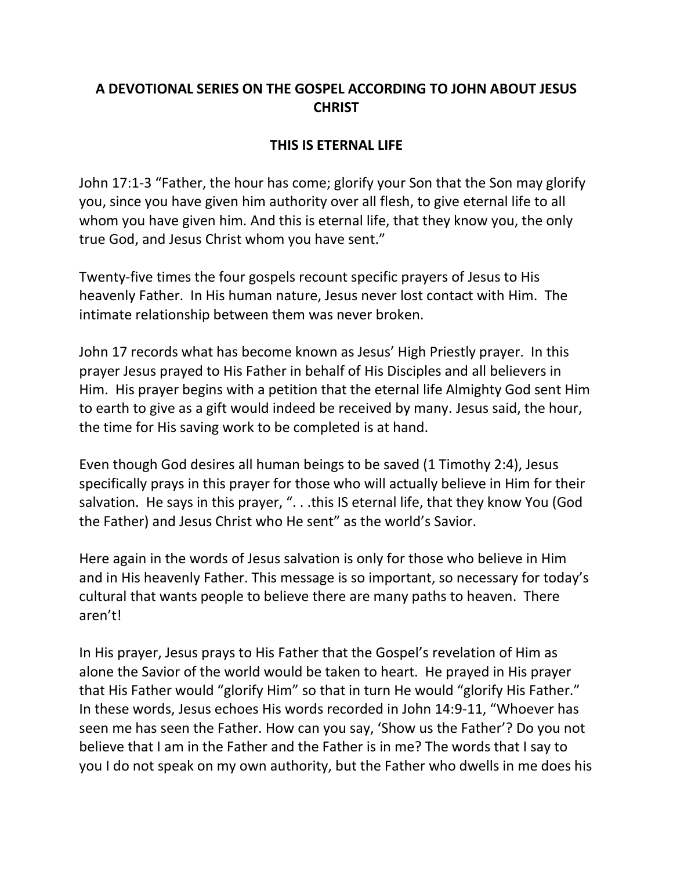## **A DEVOTIONAL SERIES ON THE GOSPEL ACCORDING TO JOHN ABOUT JESUS CHRIST**

## **THIS IS ETERNAL LIFE**

John 17:1-3 "Father, the hour has come; glorify your Son that the Son may glorify you, since you have given him authority over all flesh, to give eternal life to all whom you have given him. And this is eternal life, that they know you, the only true God, and Jesus Christ whom you have sent."

Twenty-five times the four gospels recount specific prayers of Jesus to His heavenly Father. In His human nature, Jesus never lost contact with Him. The intimate relationship between them was never broken.

John 17 records what has become known as Jesus' High Priestly prayer. In this prayer Jesus prayed to His Father in behalf of His Disciples and all believers in Him. His prayer begins with a petition that the eternal life Almighty God sent Him to earth to give as a gift would indeed be received by many. Jesus said, the hour, the time for His saving work to be completed is at hand.

Even though God desires all human beings to be saved (1 Timothy 2:4), Jesus specifically prays in this prayer for those who will actually believe in Him for their salvation. He says in this prayer, "...this IS eternal life, that they know You (God the Father) and Jesus Christ who He sent" as the world's Savior.

Here again in the words of Jesus salvation is only for those who believe in Him and in His heavenly Father. This message is so important, so necessary for today's cultural that wants people to believe there are many paths to heaven. There aren't!

In His prayer, Jesus prays to His Father that the Gospel's revelation of Him as alone the Savior of the world would be taken to heart. He prayed in His prayer that His Father would "glorify Him" so that in turn He would "glorify His Father." In these words, Jesus echoes His words recorded in John 14:9-11, "Whoever has seen me has seen the Father. How can you say, 'Show us the Father'? Do you not believe that I am in the Father and the Father is in me? The words that I say to you I do not speak on my own authority, but the Father who dwells in me does his